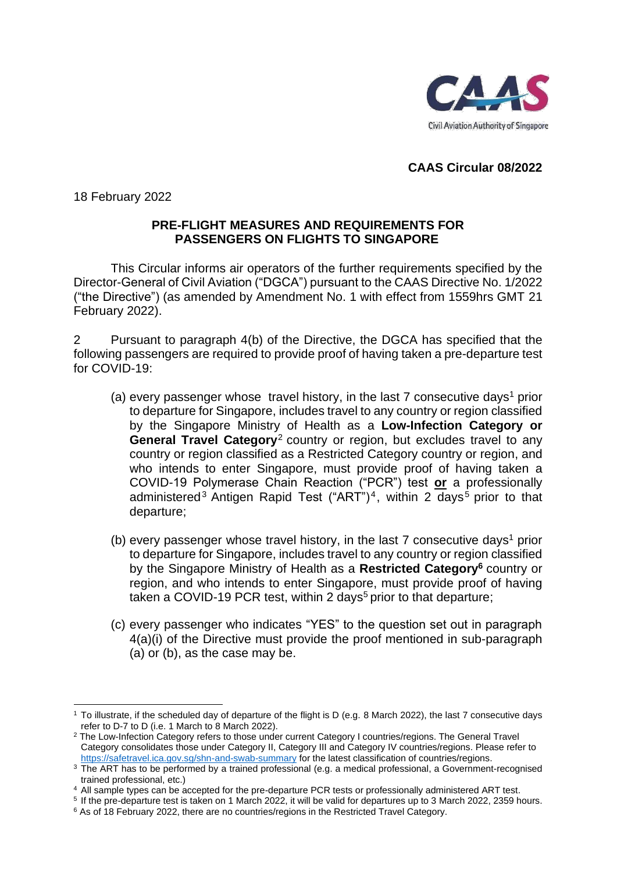

## **CAAS Circular 08/2022**

18 February 2022

## **PRE-FLIGHT MEASURES AND REQUIREMENTS FOR PASSENGERS ON FLIGHTS TO SINGAPORE**

This Circular informs air operators of the further requirements specified by the Director-General of Civil Aviation ("DGCA") pursuant to the CAAS Directive No. 1/2022 ("the Directive") (as amended by Amendment No. 1 with effect from 1559hrs GMT 21 February 2022).

2 Pursuant to paragraph 4(b) of the Directive, the DGCA has specified that the following passengers are required to provide proof of having taken a pre-departure test for COVID-19:

- (a) every passenger whose travel history, in the last  $7$  consecutive days<sup>1</sup> prior to departure for Singapore, includes travel to any country or region classified by the Singapore Ministry of Health as a **Low-Infection Category or General Travel Category**<sup>2</sup> country or region, but excludes travel to any country or region classified as a Restricted Category country or region, and who intends to enter Singapore, must provide proof of having taken a COVID-19 Polymerase Chain Reaction ("PCR") test **or** a professionally administered<sup>3</sup> Antigen Rapid Test ("ART")<sup>4</sup>, within 2 days<sup>5</sup> prior to that departure;
- (b) every passenger whose travel history, in the last  $7$  consecutive days<sup>1</sup> prior to departure for Singapore, includes travel to any country or region classified by the Singapore Ministry of Health as a **Restricted Category<sup>6</sup>** country or region, and who intends to enter Singapore, must provide proof of having taken a COVID-19 PCR test, within 2 days<sup>5</sup> prior to that departure;
- (c) every passenger who indicates "YES" to the question set out in paragraph 4(a)(i) of the Directive must provide the proof mentioned in sub-paragraph (a) or (b), as the case may be.

<sup>1</sup> To illustrate, if the scheduled day of departure of the flight is D (e.g. 8 March 2022), the last 7 consecutive days refer to D-7 to D (i.e. 1 March to 8 March 2022).

<sup>&</sup>lt;sup>2</sup> The Low-Infection Category refers to those under current Category I countries/regions. The General Travel Category consolidates those under Category II, Category III and Category IV countries/regions. Please refer to <https://safetravel.ica.gov.sg/shn-and-swab-summary> for the latest classification of countries/regions.

<sup>&</sup>lt;sup>3</sup> The ART has to be performed by a trained professional (e.g. a medical professional, a Government-recognised trained professional, etc.)

<sup>4</sup> All sample types can be accepted for the pre-departure PCR tests or professionally administered ART test.

<sup>5</sup> If the pre-departure test is taken on 1 March 2022, it will be valid for departures up to 3 March 2022, 2359 hours.

<sup>6</sup> As of 18 February 2022, there are no countries/regions in the Restricted Travel Category.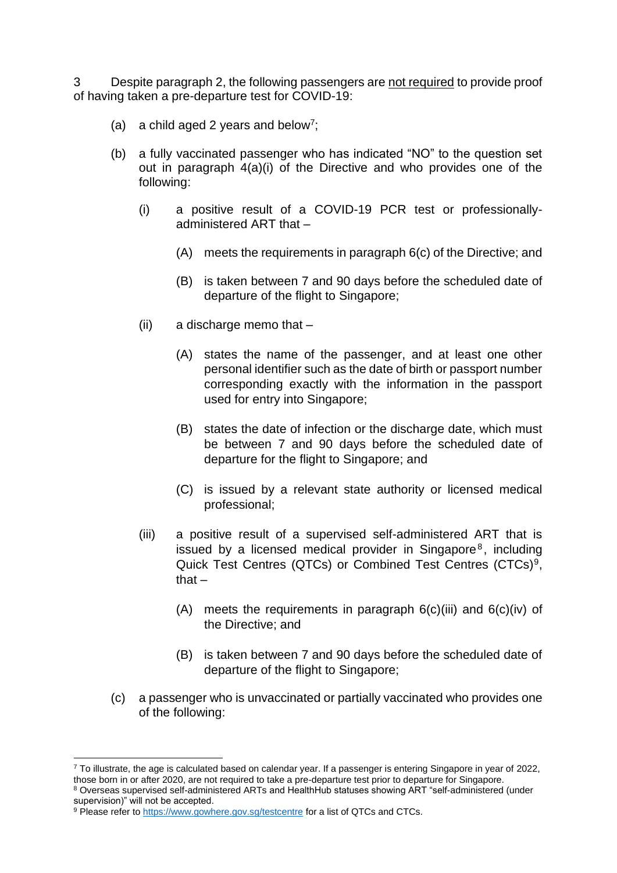3 Despite paragraph 2, the following passengers are not required to provide proof of having taken a pre-departure test for COVID-19:

- (a) a child aged 2 years and below<sup>7</sup>;
- (b) a fully vaccinated passenger who has indicated "NO" to the question set out in paragraph 4(a)(i) of the Directive and who provides one of the following:
	- (i) a positive result of a COVID-19 PCR test or professionallyadministered ART that –
		- (A) meets the requirements in paragraph 6(c) of the Directive; and
		- (B) is taken between 7 and 90 days before the scheduled date of departure of the flight to Singapore;
	- (ii) a discharge memo that
		- (A) states the name of the passenger, and at least one other personal identifier such as the date of birth or passport number corresponding exactly with the information in the passport used for entry into Singapore;
		- (B) states the date of infection or the discharge date, which must be between 7 and 90 days before the scheduled date of departure for the flight to Singapore; and
		- (C) is issued by a relevant state authority or licensed medical professional;
	- (iii) a positive result of a supervised self-administered ART that is issued by a licensed medical provider in Singapore $8$ , including Quick Test Centres (QTCs) or Combined Test Centres (CTCs)<sup>9</sup>, that –
		- (A) meets the requirements in paragraph  $6(c)$ (iii) and  $6(c)$ (iv) of the Directive; and
		- (B) is taken between 7 and 90 days before the scheduled date of departure of the flight to Singapore;
- (c) a passenger who is unvaccinated or partially vaccinated who provides one of the following:

 $7$  To illustrate, the age is calculated based on calendar year. If a passenger is entering Singapore in year of 2022, those born in or after 2020, are not required to take a pre-departure test prior to departure for Singapore.

<sup>8</sup> Overseas supervised self-administered ARTs and HealthHub statuses showing ART "self-administered (under supervision)" will not be accepted.

<sup>9</sup> Please refer to<https://www.gowhere.gov.sg/testcentre> for a list of QTCs and CTCs.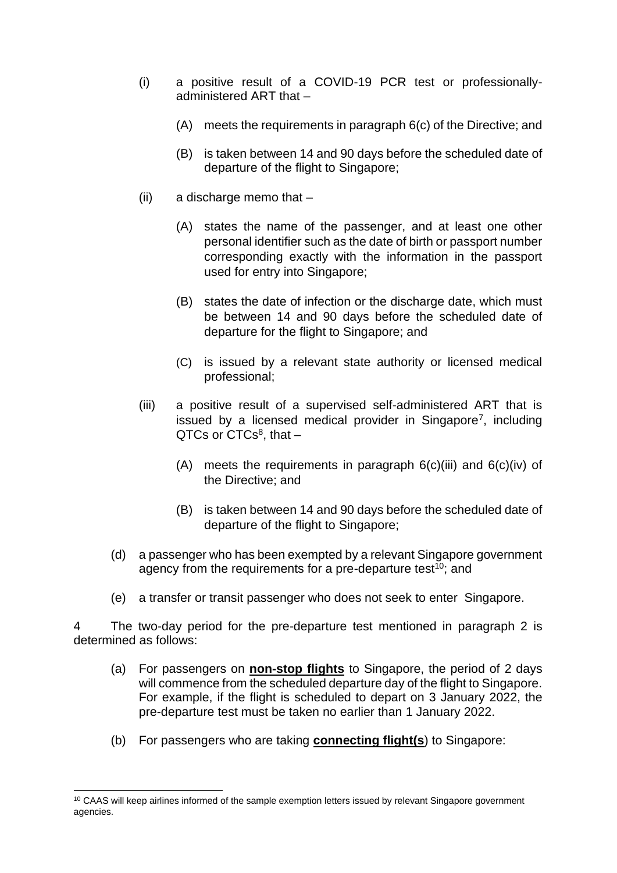- (i) a positive result of a COVID-19 PCR test or professionallyadministered ART that –
	- (A) meets the requirements in paragraph 6(c) of the Directive; and
	- (B) is taken between 14 and 90 days before the scheduled date of departure of the flight to Singapore;
- (ii) a discharge memo that
	- (A) states the name of the passenger, and at least one other personal identifier such as the date of birth or passport number corresponding exactly with the information in the passport used for entry into Singapore;
	- (B) states the date of infection or the discharge date, which must be between 14 and 90 days before the scheduled date of departure for the flight to Singapore; and
	- (C) is issued by a relevant state authority or licensed medical professional;
- (iii) a positive result of a supervised self-administered ART that is issued by a licensed medical provider in Singapore<sup>7</sup>, including  $QTCs$  or  $CTCs<sup>8</sup>$ , that  $-$ 
	- (A) meets the requirements in paragraph  $6(c)$ (iii) and  $6(c)$ (iv) of the Directive; and
	- (B) is taken between 14 and 90 days before the scheduled date of departure of the flight to Singapore;
- (d) a passenger who has been exempted by a relevant Singapore government agency from the requirements for a pre-departure test $^{10}$ ; and
- (e) a transfer or transit passenger who does not seek to enter Singapore.

4 The two-day period for the pre-departure test mentioned in paragraph 2 is determined as follows:

- (a) For passengers on **non-stop flights** to Singapore, the period of 2 days will commence from the scheduled departure day of the flight to Singapore. For example, if the flight is scheduled to depart on 3 January 2022, the pre-departure test must be taken no earlier than 1 January 2022.
- (b) For passengers who are taking **connecting flight(s**) to Singapore:

<sup>&</sup>lt;sup>10</sup> CAAS will keep airlines informed of the sample exemption letters issued by relevant Singapore government agencies.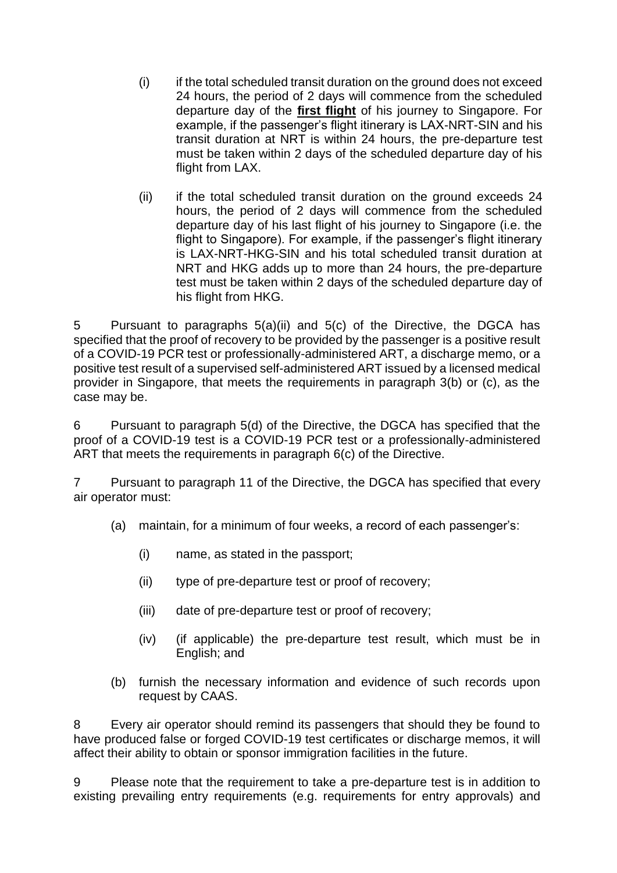- (i) if the total scheduled transit duration on the ground does not exceed 24 hours, the period of 2 days will commence from the scheduled departure day of the **first flight** of his journey to Singapore. For example, if the passenger's flight itinerary is LAX-NRT-SIN and his transit duration at NRT is within 24 hours, the pre-departure test must be taken within 2 days of the scheduled departure day of his flight from LAX.
- (ii) if the total scheduled transit duration on the ground exceeds 24 hours, the period of 2 days will commence from the scheduled departure day of his last flight of his journey to Singapore (i.e. the flight to Singapore). For example, if the passenger's flight itinerary is LAX-NRT-HKG-SIN and his total scheduled transit duration at NRT and HKG adds up to more than 24 hours, the pre-departure test must be taken within 2 days of the scheduled departure day of his flight from HKG.

5 Pursuant to paragraphs 5(a)(ii) and 5(c) of the Directive, the DGCA has specified that the proof of recovery to be provided by the passenger is a positive result of a COVID-19 PCR test or professionally-administered ART, a discharge memo, or a positive test result of a supervised self-administered ART issued by a licensed medical provider in Singapore, that meets the requirements in paragraph 3(b) or (c), as the case may be.

6 Pursuant to paragraph 5(d) of the Directive, the DGCA has specified that the proof of a COVID-19 test is a COVID-19 PCR test or a professionally-administered ART that meets the requirements in paragraph 6(c) of the Directive.

7 Pursuant to paragraph 11 of the Directive, the DGCA has specified that every air operator must:

- (a) maintain, for a minimum of four weeks, a record of each passenger's:
	- (i) name, as stated in the passport;
	- (ii) type of pre-departure test or proof of recovery;
	- (iii) date of pre-departure test or proof of recovery;
	- (iv) (if applicable) the pre-departure test result, which must be in English; and
- (b) furnish the necessary information and evidence of such records upon request by CAAS.

8 Every air operator should remind its passengers that should they be found to have produced false or forged COVID-19 test certificates or discharge memos, it will affect their ability to obtain or sponsor immigration facilities in the future.

9 Please note that the requirement to take a pre-departure test is in addition to existing prevailing entry requirements (e.g. requirements for entry approvals) and